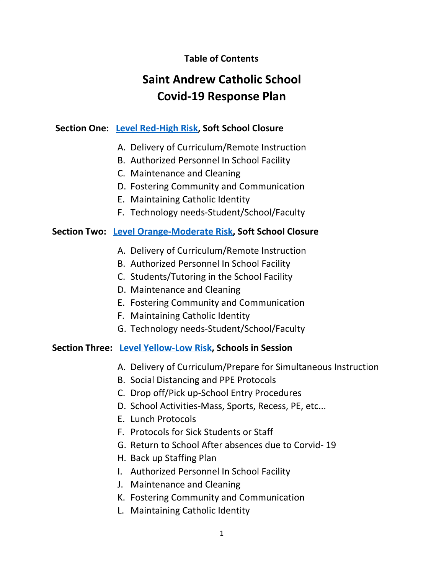## **Table of Contents**

# **Saint Andrew Catholic School Covid-19 Response Plan**

## **Section One: Level [Red-High](#page-2-0) Risk, Soft School Closure**

- A. Delivery of Curriculum/Remote Instruction
- B. Authorized Personnel In School Facility
- C. Maintenance and Cleaning
- D. Fostering Community and Communication
- E. Maintaining Catholic Identity
- F. Technology needs-Student/School/Faculty

## **Section Two: Level [Orange-Moderate](#page-4-0) Risk, Soft School Closure**

- A. Delivery of Curriculum/Remote Instruction
- B. Authorized Personnel In School Facility
- C. Students/Tutoring in the School Facility
- D. Maintenance and Cleaning
- E. Fostering Community and Communication
- F. Maintaining Catholic Identity
- G. Technology needs-Student/School/Faculty

#### **Section Three: Level [Yellow-Low](#page-5-0) Risk, Schools in Session**

- A. Delivery of Curriculum/Prepare for Simultaneous Instruction
- B. Social Distancing and PPE Protocols
- C. Drop off/Pick up-School Entry Procedures
- D. School Activities-Mass, Sports, Recess, PE, etc...
- E. Lunch Protocols
- F. Protocols for Sick Students or Staff
- G. Return to School After absences due to Corvid- 19
- H. Back up Staffing Plan
- I. Authorized Personnel In School Facility
- J. Maintenance and Cleaning
- K. Fostering Community and Communication
- L. Maintaining Catholic Identity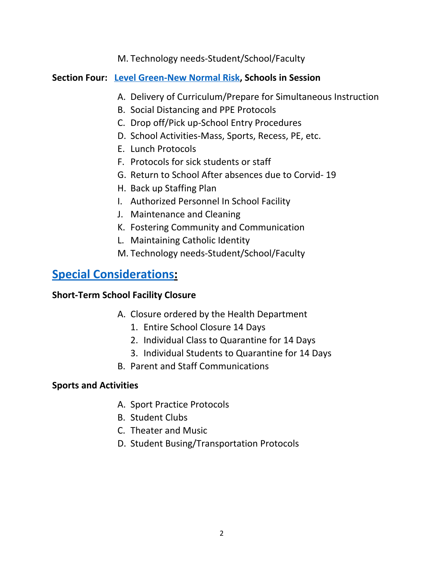M. Technology needs-Student/School/Faculty

## **Section Four: Level [Green-New](#page-8-0) Normal Risk, Schools in Session**

- A. Delivery of Curriculum/Prepare for Simultaneous Instruction
- B. Social Distancing and PPE Protocols
- C. Drop off/Pick up-School Entry Procedures
- D. School Activities-Mass, Sports, Recess, PE, etc.
- E. Lunch Protocols
- F. Protocols for sick students or staff
- G. Return to School After absences due to Corvid- 19
- H. Back up Staffing Plan
- I. Authorized Personnel In School Facility
- J. Maintenance and Cleaning
- K. Fostering Community and Communication
- L. Maintaining Catholic Identity
- M. Technology needs-Student/School/Faculty

## **[Special Considerations](#page-11-0):**

## **Short-Term School Facility Closure**

- A. Closure ordered by the Health Department
	- 1. Entire School Closure 14 Days
	- 2. Individual Class to Quarantine for 14 Days
	- 3. Individual Students to Quarantine for 14 Days
- B. Parent and Staff Communications

## **Sports and Activities**

- A. Sport Practice Protocols
- B. Student Clubs
- C. Theater and Music
- D. Student Busing/Transportation Protocols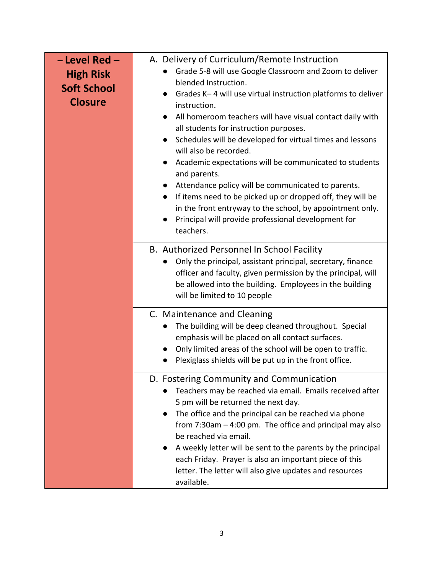<span id="page-2-0"></span>

| - Level Red-<br><b>High Risk</b><br><b>Soft School</b><br><b>Closure</b> | A. Delivery of Curriculum/Remote Instruction<br>Grade 5-8 will use Google Classroom and Zoom to deliver<br>$\bullet$<br>blended Instruction.<br>Grades K-4 will use virtual instruction platforms to deliver<br>$\bullet$<br>instruction.<br>All homeroom teachers will have visual contact daily with<br>all students for instruction purposes.<br>Schedules will be developed for virtual times and lessons<br>$\bullet$<br>will also be recorded.<br>Academic expectations will be communicated to students<br>$\bullet$<br>and parents.<br>Attendance policy will be communicated to parents.<br>If items need to be picked up or dropped off, they will be<br>$\bullet$<br>in the front entryway to the school, by appointment only.<br>Principal will provide professional development for<br>teachers. |
|--------------------------------------------------------------------------|---------------------------------------------------------------------------------------------------------------------------------------------------------------------------------------------------------------------------------------------------------------------------------------------------------------------------------------------------------------------------------------------------------------------------------------------------------------------------------------------------------------------------------------------------------------------------------------------------------------------------------------------------------------------------------------------------------------------------------------------------------------------------------------------------------------|
|                                                                          | B. Authorized Personnel In School Facility<br>Only the principal, assistant principal, secretary, finance<br>officer and faculty, given permission by the principal, will<br>be allowed into the building. Employees in the building<br>will be limited to 10 people                                                                                                                                                                                                                                                                                                                                                                                                                                                                                                                                          |
|                                                                          | C. Maintenance and Cleaning<br>The building will be deep cleaned throughout. Special<br>$\bullet$<br>emphasis will be placed on all contact surfaces.<br>Only limited areas of the school will be open to traffic.<br>Plexiglass shields will be put up in the front office.                                                                                                                                                                                                                                                                                                                                                                                                                                                                                                                                  |
|                                                                          | D. Fostering Community and Communication<br>Teachers may be reached via email. Emails received after<br>5 pm will be returned the next day.<br>The office and the principal can be reached via phone<br>from $7:30$ am $-4:00$ pm. The office and principal may also<br>be reached via email.<br>A weekly letter will be sent to the parents by the principal<br>each Friday. Prayer is also an important piece of this<br>letter. The letter will also give updates and resources<br>available.                                                                                                                                                                                                                                                                                                              |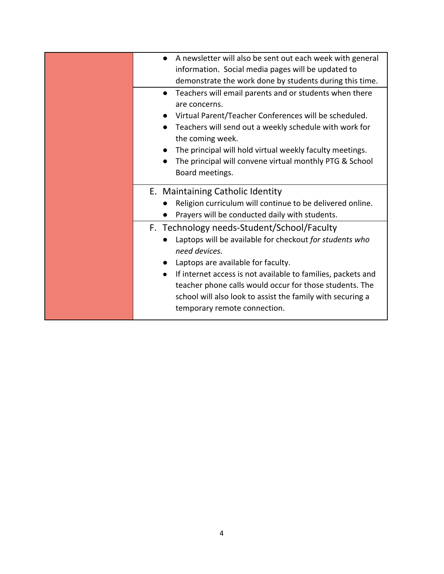| A newsletter will also be sent out each week with general    |
|--------------------------------------------------------------|
| information. Social media pages will be updated to           |
| demonstrate the work done by students during this time.      |
| Teachers will email parents and or students when there       |
| are concerns.                                                |
| Virtual Parent/Teacher Conferences will be scheduled.        |
| Teachers will send out a weekly schedule with work for       |
| the coming week.                                             |
| The principal will hold virtual weekly faculty meetings.     |
| The principal will convene virtual monthly PTG & School      |
| Board meetings.                                              |
|                                                              |
| E. Maintaining Catholic Identity                             |
| Religion curriculum will continue to be delivered online.    |
| Prayers will be conducted daily with students.               |
| F. Technology needs-Student/School/Faculty                   |
| Laptops will be available for checkout for students who      |
| need devices.                                                |
| Laptops are available for faculty.                           |
| If internet access is not available to families, packets and |
| teacher phone calls would occur for those students. The      |
| school will also look to assist the family with securing a   |
|                                                              |
| temporary remote connection.                                 |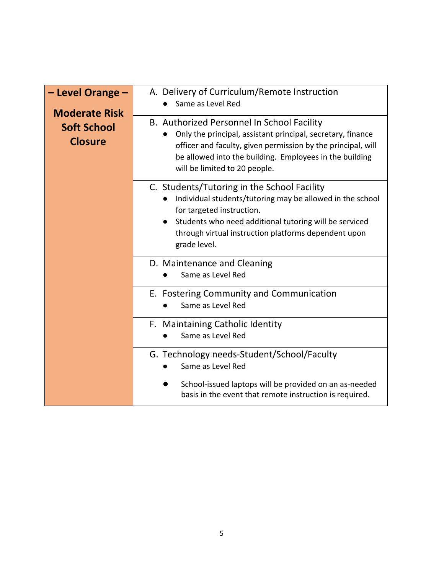<span id="page-4-0"></span>

| - Level Orange -<br><b>Moderate Risk</b> | A. Delivery of Curriculum/Remote Instruction<br>Same as Level Red                                                                                                                                                                                                       |
|------------------------------------------|-------------------------------------------------------------------------------------------------------------------------------------------------------------------------------------------------------------------------------------------------------------------------|
| <b>Soft School</b><br><b>Closure</b>     | B. Authorized Personnel In School Facility<br>Only the principal, assistant principal, secretary, finance<br>officer and faculty, given permission by the principal, will<br>be allowed into the building. Employees in the building<br>will be limited to 20 people.   |
|                                          | C. Students/Tutoring in the School Facility<br>Individual students/tutoring may be allowed in the school<br>for targeted instruction.<br>Students who need additional tutoring will be serviced<br>through virtual instruction platforms dependent upon<br>grade level. |
|                                          | D. Maintenance and Cleaning<br>Same as Level Red                                                                                                                                                                                                                        |
|                                          | E. Fostering Community and Communication<br>Same as Level Red                                                                                                                                                                                                           |
|                                          | F. Maintaining Catholic Identity<br>Same as Level Red                                                                                                                                                                                                                   |
|                                          | G. Technology needs-Student/School/Faculty<br>Same as Level Red                                                                                                                                                                                                         |
|                                          | School-issued laptops will be provided on an as-needed<br>basis in the event that remote instruction is required.                                                                                                                                                       |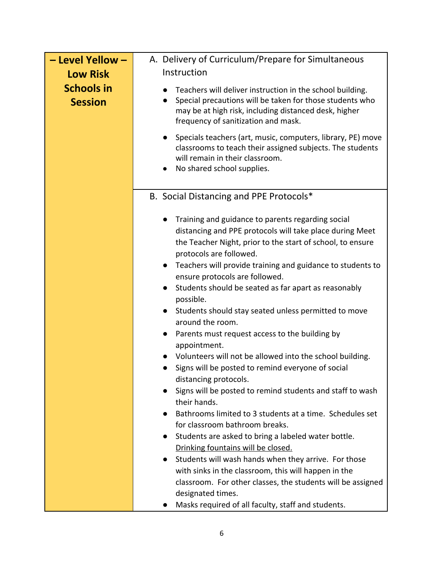<span id="page-5-0"></span>

| - Level Yellow -                    | A. Delivery of Curriculum/Prepare for Simultaneous                                                                                                                                                                                                                                                                                                                                                                                                                                                                                                                                                                                                                                                                                                                                                                                                                                                                                                                                                                                                                                                                                                                                                       |
|-------------------------------------|----------------------------------------------------------------------------------------------------------------------------------------------------------------------------------------------------------------------------------------------------------------------------------------------------------------------------------------------------------------------------------------------------------------------------------------------------------------------------------------------------------------------------------------------------------------------------------------------------------------------------------------------------------------------------------------------------------------------------------------------------------------------------------------------------------------------------------------------------------------------------------------------------------------------------------------------------------------------------------------------------------------------------------------------------------------------------------------------------------------------------------------------------------------------------------------------------------|
| <b>Low Risk</b>                     | Instruction                                                                                                                                                                                                                                                                                                                                                                                                                                                                                                                                                                                                                                                                                                                                                                                                                                                                                                                                                                                                                                                                                                                                                                                              |
| <b>Schools in</b><br><b>Session</b> | Teachers will deliver instruction in the school building.<br>Special precautions will be taken for those students who<br>$\bullet$<br>may be at high risk, including distanced desk, higher<br>frequency of sanitization and mask.                                                                                                                                                                                                                                                                                                                                                                                                                                                                                                                                                                                                                                                                                                                                                                                                                                                                                                                                                                       |
|                                     | Specials teachers (art, music, computers, library, PE) move<br>$\bullet$<br>classrooms to teach their assigned subjects. The students<br>will remain in their classroom.<br>No shared school supplies.<br>$\bullet$                                                                                                                                                                                                                                                                                                                                                                                                                                                                                                                                                                                                                                                                                                                                                                                                                                                                                                                                                                                      |
|                                     | B. Social Distancing and PPE Protocols*                                                                                                                                                                                                                                                                                                                                                                                                                                                                                                                                                                                                                                                                                                                                                                                                                                                                                                                                                                                                                                                                                                                                                                  |
|                                     | Training and guidance to parents regarding social<br>distancing and PPE protocols will take place during Meet<br>the Teacher Night, prior to the start of school, to ensure<br>protocols are followed.<br>Teachers will provide training and guidance to students to<br>$\bullet$<br>ensure protocols are followed.<br>Students should be seated as far apart as reasonably<br>$\bullet$<br>possible.<br>Students should stay seated unless permitted to move<br>$\bullet$<br>around the room.<br>Parents must request access to the building by<br>$\bullet$<br>appointment.<br>Volunteers will not be allowed into the school building.<br>$\bullet$<br>Signs will be posted to remind everyone of social<br>distancing protocols.<br>Signs will be posted to remind students and staff to wash<br>their hands.<br>Bathrooms limited to 3 students at a time. Schedules set<br>for classroom bathroom breaks.<br>Students are asked to bring a labeled water bottle.<br>Drinking fountains will be closed.<br>Students will wash hands when they arrive. For those<br>$\bullet$<br>with sinks in the classroom, this will happen in the<br>classroom. For other classes, the students will be assigned |
|                                     | designated times.<br>Masks required of all faculty, staff and students.                                                                                                                                                                                                                                                                                                                                                                                                                                                                                                                                                                                                                                                                                                                                                                                                                                                                                                                                                                                                                                                                                                                                  |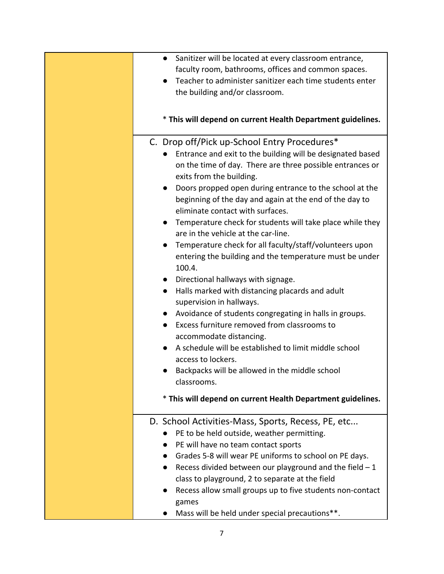| Sanitizer will be located at every classroom entrance,<br>$\bullet$<br>faculty room, bathrooms, offices and common spaces.<br>Teacher to administer sanitizer each time students enter<br>the building and/or classroom.                                                                                                                                                                                                                                                                                                                                                                                                                                                                                                                                                                                                                                                                          |
|---------------------------------------------------------------------------------------------------------------------------------------------------------------------------------------------------------------------------------------------------------------------------------------------------------------------------------------------------------------------------------------------------------------------------------------------------------------------------------------------------------------------------------------------------------------------------------------------------------------------------------------------------------------------------------------------------------------------------------------------------------------------------------------------------------------------------------------------------------------------------------------------------|
| * This will depend on current Health Department guidelines.                                                                                                                                                                                                                                                                                                                                                                                                                                                                                                                                                                                                                                                                                                                                                                                                                                       |
| C. Drop off/Pick up-School Entry Procedures*<br>Entrance and exit to the building will be designated based<br>on the time of day. There are three possible entrances or<br>exits from the building.<br>Doors propped open during entrance to the school at the<br>$\bullet$<br>beginning of the day and again at the end of the day to<br>eliminate contact with surfaces.<br>Temperature check for students will take place while they<br>$\bullet$<br>are in the vehicle at the car-line.<br>Temperature check for all faculty/staff/volunteers upon<br>entering the building and the temperature must be under<br>100.4.<br>Directional hallways with signage.<br>Halls marked with distancing placards and adult<br>$\bullet$<br>supervision in hallways.<br>Avoidance of students congregating in halls in groups.<br>Excess furniture removed from classrooms to<br>accommodate distancing. |
| A schedule will be established to limit middle school<br>access to lockers.<br>Backpacks will be allowed in the middle school<br>classrooms.                                                                                                                                                                                                                                                                                                                                                                                                                                                                                                                                                                                                                                                                                                                                                      |
| * This will depend on current Health Department guidelines.                                                                                                                                                                                                                                                                                                                                                                                                                                                                                                                                                                                                                                                                                                                                                                                                                                       |
| D. School Activities-Mass, Sports, Recess, PE, etc<br>PE to be held outside, weather permitting.<br>PE will have no team contact sports<br>Grades 5-8 will wear PE uniforms to school on PE days.<br>Recess divided between our playground and the field $-1$<br>class to playground, 2 to separate at the field<br>Recess allow small groups up to five students non-contact<br>games                                                                                                                                                                                                                                                                                                                                                                                                                                                                                                            |
| Mass will be held under special precautions**.                                                                                                                                                                                                                                                                                                                                                                                                                                                                                                                                                                                                                                                                                                                                                                                                                                                    |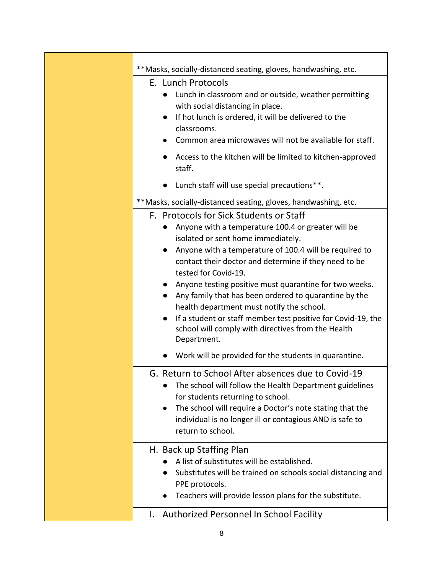| **Masks, socially-distanced seating, gloves, handwashing, etc.                                                                                                                                                                                                                                                                                                                                                                                                                                                                                                                                                             |
|----------------------------------------------------------------------------------------------------------------------------------------------------------------------------------------------------------------------------------------------------------------------------------------------------------------------------------------------------------------------------------------------------------------------------------------------------------------------------------------------------------------------------------------------------------------------------------------------------------------------------|
| E. Lunch Protocols<br>Lunch in classroom and or outside, weather permitting<br>with social distancing in place.<br>If hot lunch is ordered, it will be delivered to the<br>classrooms.<br>Common area microwaves will not be available for staff.                                                                                                                                                                                                                                                                                                                                                                          |
| Access to the kitchen will be limited to kitchen-approved<br>staff.                                                                                                                                                                                                                                                                                                                                                                                                                                                                                                                                                        |
| Lunch staff will use special precautions**.<br>$\bullet$                                                                                                                                                                                                                                                                                                                                                                                                                                                                                                                                                                   |
| **Masks, socially-distanced seating, gloves, handwashing, etc.                                                                                                                                                                                                                                                                                                                                                                                                                                                                                                                                                             |
| F. Protocols for Sick Students or Staff<br>Anyone with a temperature 100.4 or greater will be<br>isolated or sent home immediately.<br>Anyone with a temperature of 100.4 will be required to<br>$\bullet$<br>contact their doctor and determine if they need to be<br>tested for Covid-19.<br>Anyone testing positive must quarantine for two weeks.<br>$\bullet$<br>Any family that has been ordered to quarantine by the<br>health department must notify the school.<br>If a student or staff member test positive for Covid-19, the<br>$\bullet$<br>school will comply with directives from the Health<br>Department. |
| Work will be provided for the students in quarantine.                                                                                                                                                                                                                                                                                                                                                                                                                                                                                                                                                                      |
| G. Return to School After absences due to Covid-19<br>The school will follow the Health Department guidelines<br>for students returning to school.<br>The school will require a Doctor's note stating that the<br>individual is no longer ill or contagious AND is safe to<br>return to school.                                                                                                                                                                                                                                                                                                                            |
| H. Back up Staffing Plan<br>A list of substitutes will be established.<br>Substitutes will be trained on schools social distancing and<br>PPE protocols.<br>Teachers will provide lesson plans for the substitute.                                                                                                                                                                                                                                                                                                                                                                                                         |
| Authorized Personnel In School Facility<br>I.                                                                                                                                                                                                                                                                                                                                                                                                                                                                                                                                                                              |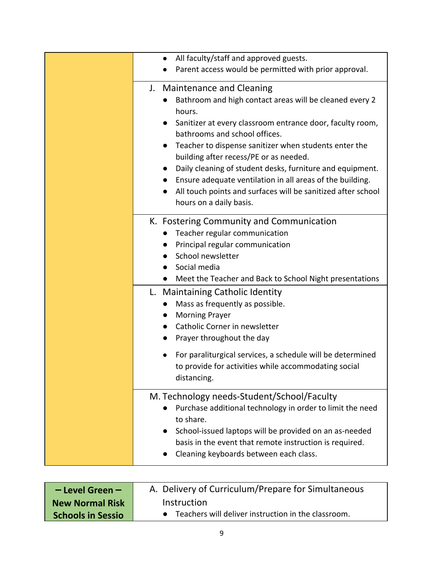| All faculty/staff and approved guests.<br>$\bullet$<br>Parent access would be permitted with prior approval.                                                                                                                                                                                                                                                                                                                                                                                                                     |
|----------------------------------------------------------------------------------------------------------------------------------------------------------------------------------------------------------------------------------------------------------------------------------------------------------------------------------------------------------------------------------------------------------------------------------------------------------------------------------------------------------------------------------|
| <b>Maintenance and Cleaning</b><br>J.<br>Bathroom and high contact areas will be cleaned every 2<br>hours.<br>Sanitizer at every classroom entrance door, faculty room,<br>bathrooms and school offices.<br>Teacher to dispense sanitizer when students enter the<br>building after recess/PE or as needed.<br>Daily cleaning of student desks, furniture and equipment.<br>Ensure adequate ventilation in all areas of the building.<br>All touch points and surfaces will be sanitized after school<br>hours on a daily basis. |
| K. Fostering Community and Communication<br>Teacher regular communication<br>Principal regular communication<br>School newsletter<br>Social media<br>Meet the Teacher and Back to School Night presentations<br>$\bullet$                                                                                                                                                                                                                                                                                                        |
| L. Maintaining Catholic Identity<br>Mass as frequently as possible.<br>$\bullet$<br><b>Morning Prayer</b><br>Catholic Corner in newsletter<br>Prayer throughout the day<br>For paraliturgical services, a schedule will be determined<br>to provide for activities while accommodating social<br>distancing.                                                                                                                                                                                                                     |
| M. Technology needs-Student/School/Faculty<br>Purchase additional technology in order to limit the need<br>to share.<br>School-issued laptops will be provided on an as-needed<br>basis in the event that remote instruction is required.<br>Cleaning keyboards between each class.                                                                                                                                                                                                                                              |

<span id="page-8-0"></span>

| $-$ Level Green $-$      | A. Delivery of Curriculum/Prepare for Simultaneous  |
|--------------------------|-----------------------------------------------------|
| <b>New Normal Risk</b>   | Instruction                                         |
| <b>Schools in Sessio</b> | Teachers will deliver instruction in the classroom. |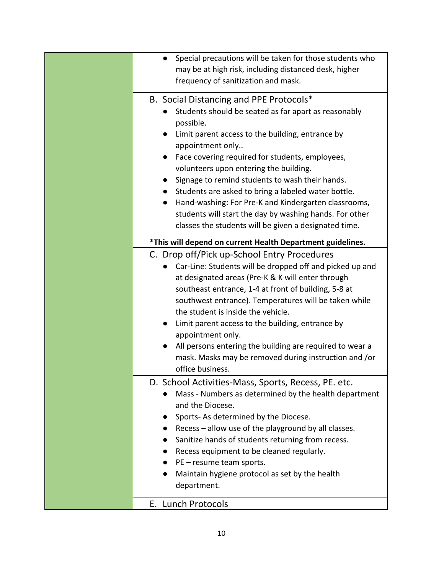| Special precautions will be taken for those students who<br>may be at high risk, including distanced desk, higher<br>frequency of sanitization and mask.                                                                                                                                                                                                                                                                                                                                                                                                                                          |
|---------------------------------------------------------------------------------------------------------------------------------------------------------------------------------------------------------------------------------------------------------------------------------------------------------------------------------------------------------------------------------------------------------------------------------------------------------------------------------------------------------------------------------------------------------------------------------------------------|
| B. Social Distancing and PPE Protocols*<br>Students should be seated as far apart as reasonably<br>possible.<br>Limit parent access to the building, entrance by<br>$\bullet$<br>appointment only<br>Face covering required for students, employees,<br>volunteers upon entering the building.<br>Signage to remind students to wash their hands.<br>$\bullet$<br>Students are asked to bring a labeled water bottle.<br>Hand-washing: For Pre-K and Kindergarten classrooms,<br>students will start the day by washing hands. For other<br>classes the students will be given a designated time. |
| *This will depend on current Health Department guidelines.                                                                                                                                                                                                                                                                                                                                                                                                                                                                                                                                        |
| C. Drop off/Pick up-School Entry Procedures<br>Car-Line: Students will be dropped off and picked up and<br>at designated areas (Pre-K & K will enter through<br>southeast entrance, 1-4 at front of building, 5-8 at<br>southwest entrance). Temperatures will be taken while<br>the student is inside the vehicle.<br>Limit parent access to the building, entrance by<br>appointment only.<br>All persons entering the building are required to wear a<br>mask. Masks may be removed during instruction and /or<br>office business.                                                             |
| D. School Activities-Mass, Sports, Recess, PE. etc.<br>Mass - Numbers as determined by the health department<br>and the Diocese.<br>Sports-As determined by the Diocese.<br>Recess - allow use of the playground by all classes.<br>Sanitize hands of students returning from recess.<br>Recess equipment to be cleaned regularly.<br>PE - resume team sports.<br>Maintain hygiene protocol as set by the health<br>department.                                                                                                                                                                   |
| E. Lunch Protocols                                                                                                                                                                                                                                                                                                                                                                                                                                                                                                                                                                                |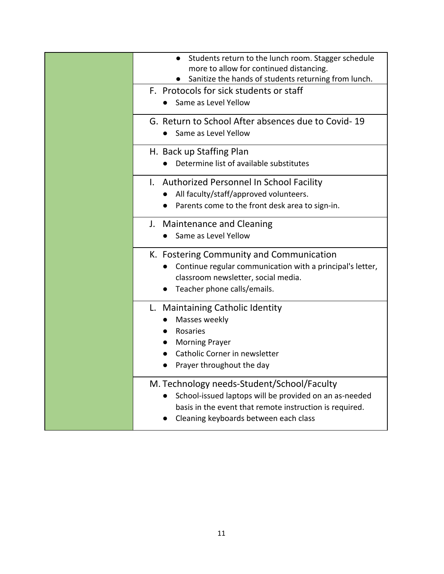| Students return to the lunch room. Stagger schedule<br>more to allow for continued distancing.<br>Sanitize the hands of students returning from lunch.                                                   |
|----------------------------------------------------------------------------------------------------------------------------------------------------------------------------------------------------------|
| F. Protocols for sick students or staff<br>Same as Level Yellow                                                                                                                                          |
| G. Return to School After absences due to Covid-19<br>Same as Level Yellow                                                                                                                               |
| H. Back up Staffing Plan<br>Determine list of available substitutes                                                                                                                                      |
| I. Authorized Personnel In School Facility<br>All faculty/staff/approved volunteers.<br>$\bullet$                                                                                                        |
| Parents come to the front desk area to sign-in.                                                                                                                                                          |
| J. Maintenance and Cleaning<br>Same as Level Yellow                                                                                                                                                      |
| K. Fostering Community and Communication<br>Continue regular communication with a principal's letter,<br>classroom newsletter, social media.<br>Teacher phone calls/emails.                              |
| L. Maintaining Catholic Identity<br>Masses weekly<br>Rosaries<br><b>Morning Prayer</b><br>Catholic Corner in newsletter<br>Prayer throughout the day                                                     |
| M. Technology needs-Student/School/Faculty<br>School-issued laptops will be provided on an as-needed<br>basis in the event that remote instruction is required.<br>Cleaning keyboards between each class |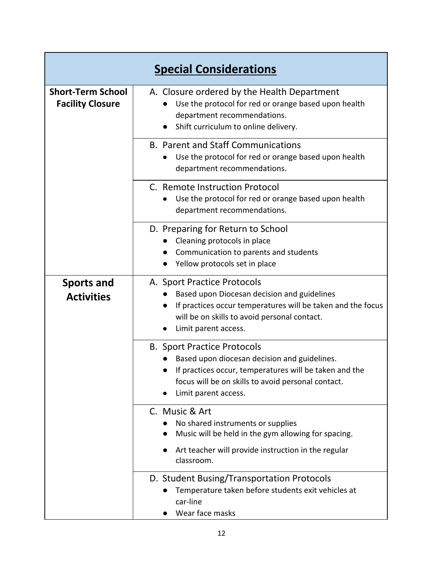<span id="page-11-0"></span>

| <b>Special Considerations</b>                       |                                                                                                                                                                                                                                |
|-----------------------------------------------------|--------------------------------------------------------------------------------------------------------------------------------------------------------------------------------------------------------------------------------|
| <b>Short-Term School</b><br><b>Facility Closure</b> | A. Closure ordered by the Health Department<br>Use the protocol for red or orange based upon health<br>department recommendations.<br>Shift curriculum to online delivery.                                                     |
|                                                     | <b>B. Parent and Staff Communications</b><br>Use the protocol for red or orange based upon health<br>department recommendations.                                                                                               |
|                                                     | C. Remote Instruction Protocol<br>Use the protocol for red or orange based upon health<br>department recommendations.                                                                                                          |
|                                                     | D. Preparing for Return to School<br>Cleaning protocols in place<br>Communication to parents and students<br>Yellow protocols set in place                                                                                     |
| <b>Sports and</b><br><b>Activities</b>              | A. Sport Practice Protocols<br>Based upon Diocesan decision and guidelines<br>If practices occur temperatures will be taken and the focus<br>$\bullet$<br>will be on skills to avoid personal contact.<br>Limit parent access. |
|                                                     | <b>B. Sport Practice Protocols</b><br>Based upon diocesan decision and guidelines.<br>If practices occur, temperatures will be taken and the<br>focus will be on skills to avoid personal contact.<br>Limit parent access.     |
|                                                     | C. Music & Art<br>No shared instruments or supplies<br>Music will be held in the gym allowing for spacing.<br>Art teacher will provide instruction in the regular<br>classroom.                                                |
|                                                     | D. Student Busing/Transportation Protocols<br>Temperature taken before students exit vehicles at<br>car-line<br>Wear face masks                                                                                                |